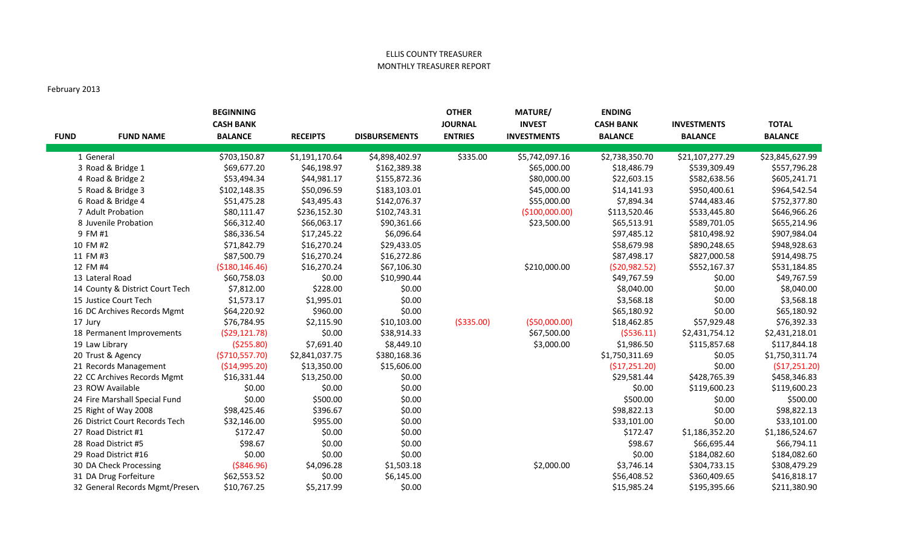## ELLIS COUNTY TREASURER MONTHLY TREASURER REPORT

## February 2013

| <b>FUND</b> | <b>FUND NAME</b>                | <b>BEGINNING</b><br><b>CASH BANK</b><br><b>BALANCE</b> | <b>RECEIPTS</b> | <b>DISBURSEMENTS</b> | <b>OTHER</b><br><b>JOURNAL</b><br><b>ENTRIES</b> | <b>MATURE/</b><br><b>INVEST</b><br><b>INVESTMENTS</b> | <b>ENDING</b><br><b>CASH BANK</b><br><b>BALANCE</b> | <b>INVESTMENTS</b><br><b>BALANCE</b> | <b>TOTAL</b><br><b>BALANCE</b> |
|-------------|---------------------------------|--------------------------------------------------------|-----------------|----------------------|--------------------------------------------------|-------------------------------------------------------|-----------------------------------------------------|--------------------------------------|--------------------------------|
|             | 1 General                       | \$703,150.87                                           | \$1,191,170.64  | \$4,898,402.97       | \$335.00                                         | \$5,742,097.16                                        | \$2,738,350.70                                      | \$21,107,277.29                      | \$23,845,627.99                |
|             | 3 Road & Bridge 1               | \$69,677.20                                            | \$46,198.97     | \$162,389.38         |                                                  | \$65,000.00                                           | \$18,486.79                                         | \$539,309.49                         | \$557,796.28                   |
|             | 4 Road & Bridge 2               | \$53,494.34                                            | \$44,981.17     | \$155,872.36         |                                                  | \$80,000.00                                           | \$22,603.15                                         | \$582,638.56                         | \$605,241.71                   |
|             | 5 Road & Bridge 3               | \$102,148.35                                           | \$50,096.59     | \$183,103.01         |                                                  | \$45,000.00                                           | \$14,141.93                                         | \$950,400.61                         | \$964,542.54                   |
|             | 6 Road & Bridge 4               | \$51,475.28                                            | \$43,495.43     | \$142,076.37         |                                                  | \$55,000.00                                           | \$7,894.34                                          | \$744,483.46                         | \$752,377.80                   |
|             | 7 Adult Probation               | \$80,111.47                                            | \$236,152.30    | \$102,743.31         |                                                  | (\$100,000.00)                                        | \$113,520.46                                        | \$533,445.80                         | \$646,966.26                   |
|             | 8 Juvenile Probation            | \$66,312.40                                            | \$66,063.17     | \$90,361.66          |                                                  | \$23,500.00                                           | \$65,513.91                                         | \$589,701.05                         | \$655,214.96                   |
|             | 9 FM #1                         | \$86,336.54                                            | \$17,245.22     | \$6,096.64           |                                                  |                                                       | \$97,485.12                                         | \$810,498.92                         | \$907,984.04                   |
|             | 10 FM #2                        | \$71,842.79                                            | \$16,270.24     | \$29,433.05          |                                                  |                                                       | \$58,679.98                                         | \$890,248.65                         | \$948,928.63                   |
|             | 11 FM #3                        | \$87,500.79                                            | \$16,270.24     | \$16,272.86          |                                                  |                                                       | \$87,498.17                                         | \$827,000.58                         | \$914,498.75                   |
|             | 12 FM #4                        | ( \$180, 146.46)                                       | \$16,270.24     | \$67,106.30          |                                                  | \$210,000.00                                          | ( \$20, 982.52)                                     | \$552,167.37                         | \$531,184.85                   |
|             | 13 Lateral Road                 | \$60,758.03                                            | \$0.00          | \$10,990.44          |                                                  |                                                       | \$49,767.59                                         | \$0.00                               | \$49,767.59                    |
|             | 14 County & District Court Tech | \$7,812.00                                             | \$228.00        | \$0.00               |                                                  |                                                       | \$8,040.00                                          | \$0.00                               | \$8,040.00                     |
|             | 15 Justice Court Tech           | \$1,573.17                                             | \$1,995.01      | \$0.00               |                                                  |                                                       | \$3,568.18                                          | \$0.00                               | \$3,568.18                     |
|             | 16 DC Archives Records Mgmt     | \$64,220.92                                            | \$960.00        | \$0.00               |                                                  |                                                       | \$65,180.92                                         | \$0.00                               | \$65,180.92                    |
|             | 17 Jury                         | \$76,784.95                                            | \$2,115.90      | \$10,103.00          | ( \$335.00)                                      | ( \$50,000.00)                                        | \$18,462.85                                         | \$57,929.48                          | \$76,392.33                    |
|             | 18 Permanent Improvements       | (529, 121.78)                                          | \$0.00          | \$38,914.33          |                                                  | \$67,500.00                                           | ( \$536.11)                                         | \$2,431,754.12                       | \$2,431,218.01                 |
|             | 19 Law Library                  | (\$255.80)                                             | \$7,691.40      | \$8,449.10           |                                                  | \$3,000.00                                            | \$1,986.50                                          | \$115,857.68                         | \$117,844.18                   |
|             | 20 Trust & Agency               | ( \$710, 557.70)                                       | \$2,841,037.75  | \$380,168.36         |                                                  |                                                       | \$1,750,311.69                                      | \$0.05                               | \$1,750,311.74                 |
|             | 21 Records Management           | ( \$14, 995.20)                                        | \$13,350.00     | \$15,606.00          |                                                  |                                                       | (517, 251.20)                                       | \$0.00                               | (\$17,251.20)                  |
|             | 22 CC Archives Records Mgmt     | \$16,331.44                                            | \$13,250.00     | \$0.00               |                                                  |                                                       | \$29,581.44                                         | \$428,765.39                         | \$458,346.83                   |
|             | 23 ROW Available                | \$0.00                                                 | \$0.00          | \$0.00               |                                                  |                                                       | \$0.00                                              | \$119,600.23                         | \$119,600.23                   |
|             | 24 Fire Marshall Special Fund   | \$0.00                                                 | \$500.00        | \$0.00               |                                                  |                                                       | \$500.00                                            | \$0.00                               | \$500.00                       |
|             | 25 Right of Way 2008            | \$98,425.46                                            | \$396.67        | \$0.00               |                                                  |                                                       | \$98,822.13                                         | \$0.00                               | \$98,822.13                    |
|             | 26 District Court Records Tech  | \$32,146.00                                            | \$955.00        | \$0.00               |                                                  |                                                       | \$33,101.00                                         | \$0.00                               | \$33,101.00                    |
|             | 27 Road District #1             | \$172.47                                               | \$0.00          | \$0.00               |                                                  |                                                       | \$172.47                                            | \$1,186,352.20                       | \$1,186,524.67                 |
|             | 28 Road District #5             | \$98.67                                                | \$0.00          | \$0.00               |                                                  |                                                       | \$98.67                                             | \$66,695.44                          | \$66,794.11                    |
|             | 29 Road District #16            | \$0.00                                                 | \$0.00          | \$0.00               |                                                  |                                                       | \$0.00                                              | \$184,082.60                         | \$184,082.60                   |
|             | 30 DA Check Processing          | ( \$846.96)                                            | \$4,096.28      | \$1,503.18           |                                                  | \$2,000.00                                            | \$3,746.14                                          | \$304,733.15                         | \$308,479.29                   |
|             | 31 DA Drug Forfeiture           | \$62,553.52                                            | \$0.00          | \$6,145.00           |                                                  |                                                       | \$56,408.52                                         | \$360,409.65                         | \$416,818.17                   |
|             | 32 General Records Mgmt/Preserv | \$10,767.25                                            | \$5,217.99      | \$0.00               |                                                  |                                                       | \$15,985.24                                         | \$195,395.66                         | \$211,380.90                   |